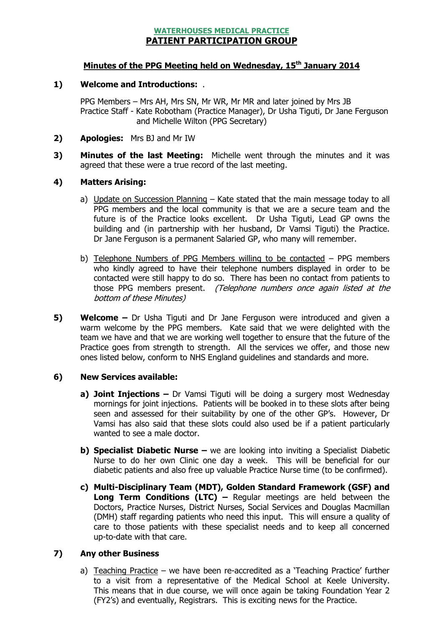## WATERHOUSES MEDICAL PRACTICE PATIENT PARTICIPATION GROUP

# Minutes of the PPG Meeting held on Wednesday, 15<sup>th</sup> January 2014

#### 1) Welcome and Introductions: .

PPG Members – Mrs AH, Mrs SN, Mr WR, Mr MR and later joined by Mrs JB Practice Staff - Kate Robotham (Practice Manager), Dr Usha Tiguti, Dr Jane Ferguson and Michelle Wilton (PPG Secretary)

- 2) **Apologies:** Mrs BJ and Mr IW
- 3) Minutes of the last Meeting: Michelle went through the minutes and it was agreed that these were a true record of the last meeting.

#### 4) Matters Arising:

- a) Update on Succession Planning Kate stated that the main message today to all PPG members and the local community is that we are a secure team and the future is of the Practice looks excellent. Dr Usha Tiguti, Lead GP owns the building and (in partnership with her husband, Dr Vamsi Tiguti) the Practice. Dr Jane Ferguson is a permanent Salaried GP, who many will remember.
- b) Telephone Numbers of PPG Members willing to be contacted PPG members who kindly agreed to have their telephone numbers displayed in order to be contacted were still happy to do so. There has been no contact from patients to those PPG members present. (Telephone numbers once again listed at the bottom of these Minutes)
- 5) Welcome Dr Usha Tiguti and Dr Jane Ferguson were introduced and given a warm welcome by the PPG members. Kate said that we were delighted with the team we have and that we are working well together to ensure that the future of the Practice goes from strength to strength. All the services we offer, and those new ones listed below, conform to NHS England guidelines and standards and more.

# 6) New Services available:

- a) Joint Injections  $-$  Dr Vamsi Tiguti will be doing a surgery most Wednesday mornings for joint injections. Patients will be booked in to these slots after being seen and assessed for their suitability by one of the other GP's. However, Dr Vamsi has also said that these slots could also used be if a patient particularly wanted to see a male doctor.
- b) Specialist Diabetic Nurse we are looking into inviting a Specialist Diabetic Nurse to do her own Clinic one day a week. This will be beneficial for our diabetic patients and also free up valuable Practice Nurse time (to be confirmed).
- c) Multi-Disciplinary Team (MDT), Golden Standard Framework (GSF) and **Long Term Conditions (LTC)**  $-$  Regular meetings are held between the Doctors, Practice Nurses, District Nurses, Social Services and Douglas Macmillan (DMH) staff regarding patients who need this input. This will ensure a quality of care to those patients with these specialist needs and to keep all concerned up-to-date with that care.

#### 7) Any other Business

a) Teaching Practice – we have been re-accredited as a 'Teaching Practice' further to a visit from a representative of the Medical School at Keele University. This means that in due course, we will once again be taking Foundation Year 2 (FY2's) and eventually, Registrars. This is exciting news for the Practice.